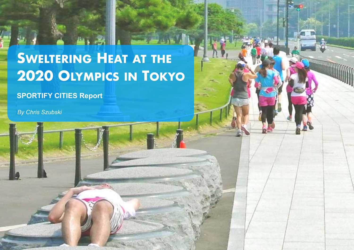# **SWELTERING HEAT AT THE 2020 OLYMPICS IN TOKYO**

**SPORTIFY CITIES Report**

*By Chris Szubski*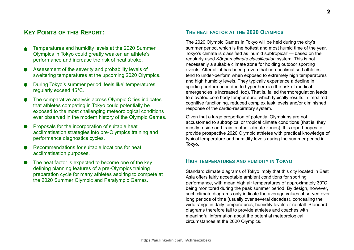# **KEY POINTS OF THIS REPORT:**

- Temperatures and humidity levels at the 2020 Summer Olympics in Tokyo could greatly weaken an athlete's performance and increase the risk of heat stroke.
- Assessment of the severity and probability levels of sweltering temperatures at the upcoming 2020 Olympics.
- During Tokyo's summer period 'feels like' temperatures regularly exceed 45°C.
- The comparative analysis across Olympic Cities indicates that athletes competing in Tokyo could potentially be exposed to the most challenging meteorological conditions ever observed in the modern history of the Olympic Games.
- Proposals for the incorporation of suitable heat acclimatisation strategies into pre-Olympics training and performance diagnostics cycles.
- Recommendations for suitable locations for heat acclimatisation purposes.
- The heat factor is expected to become one of the key defining planning features of a pre-Olympics training preparation cycle for many athletes aspiring to compete at the 2020 Summer Olympic and Paralympic Games.

# **THE HEAT FACTOR AT THE 2020 OLYMPICS**

The 2020 Olympic Games in Tokyo will be held during the city's summer period, which is the hottest and most humid time of the year. Tokyo's climate is classified as 'humid subtropical' — based on the regularly used *Köppen climate classification* system. This is not necessarily a suitable climate zone for holding outdoor sporting events. After all, it has been proven that non-acclimatised athletes tend to under-perform when exposed to extremely high temperatures and high humidity levels. They typically experience a decline in sporting performance due to hyperthermia (the risk of medical emergencies is increased, too). That is, failed thermoregulation leads to elevated core body temperature, which typically results in impaired cognitive functioning, reduced complex task levels and/or diminished response of the cardio-respiratory system.

Given that a large proportion of potential Olympians are not accustomed to subtropical or tropical climate conditions (that is, they mostly reside and train in other climate zones), this report hopes to provide prospective 2020 Olympic athletes with practical knowledge of typical temperature and humidity levels during the summer period in Tokyo.

# **HIGH TEMPERATURES AND HUMIDITY IN TOKYO**

Standard climate diagrams of Tokyo imply that this city located in East Asia offers fairly acceptable ambient conditions for sporting performance, with mean high air temperatures of approximately 30°C being monitored during the peak summer period. By design, however, such climate diagrams only indicate the average values observed over long periods of time (usually over several decades), concealing the wide range in daily temperatures, humidity levels or rainfall. Standard diagrams therefore fail to provide athletes and coaches with meaningful information about the potential meteorological circumstances at the 2020 Olympics.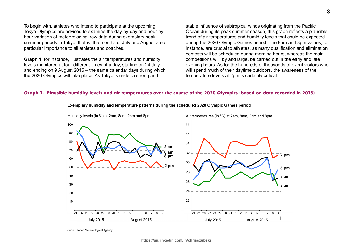To begin with, athletes who intend to participate at the upcoming Tokyo Olympics are advised to examine the day-by-day and hour-byhour variation of meteorological raw data during exemplary peak summer periods in Tokyo; that is, the months of July and August are of particular importance to all athletes and coaches.

**Graph 1**, for instance, illustrates the air temperatures and humidity levels monitored at four different times of a day, starting on 24 July and ending on 9 August 2015 – the same calendar days during which the 2020 Olympics will take place. As Tokyo is under a strong and

stable influence of subtropical winds originating from the Pacific Ocean during its peak summer season, this graph reflects a plausible trend of air temperatures and humidity levels that could be expected during the 2020 Olympic Games period. The 8am and 8pm values, for instance, are crucial to athletes, as many qualification and elimination contests will be scheduled during morning hours, whereas the main competitions will, by and large, be carried out in the early and late evening hours. As for the hundreds of thousands of event visitors who will spend much of their daytime outdoors, the awareness of the temperature levels at 2pm is certainly critical.

#### **Graph 1. Plausible humidity levels and air temperatures over the course of the 2020 Olympics (based on data recorded in 2015)**



#### **Exemplary humidity and temperature patterns during the scheduled 2020 Olympic Games period**

Source: Japan Meteorological Agency

**<https://au.linkedin.com/in/chrisszubski>**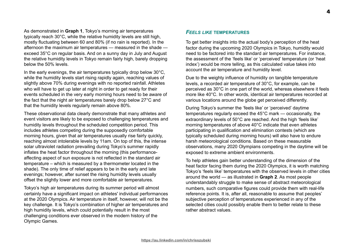As demonstrated in **Graph 1**, Tokyo's morning air temperatures typically reach 30°C, while the relative humidity levels are still high, mostly fluctuating between 60 and 80% (if no rain is reported). In the afternoon the maximum air temperatures — measured in the shade exceed 35°C on regular basis. And on a sunny day in July and August the relative humidity levels in Tokyo remain fairly high, barely dropping below the 50% levels.

In the early evenings, the air temperatures typically drop below  $30^{\circ}$ C, while the humidity levels start rising rapidly again, reaching values of slightly above 70% during evenings with no reported rainfall. Athletes who will have to get up later at night in order to get ready for their events scheduled in the very early morning hours need to be aware of the fact that the night air temperatures barely drop below 27°C and that the humidity levels regularly remain above 80%.

These observational data clearly demonstrate that many athletes and event visitors are likely to be exposed to challenging temperatures and humidity levels throughout the scheduled competition period. This includes athletes competing during the supposedly comfortable morning hours, given that air temperatures usually rise fairly quickly, reaching almost intolerable levels by 11am. On top of this, the intense solar ultraviolet radiation prevailing during Tokyo's summer rapidly inflates the heat factor throughout the morning (this performanceaffecting aspect of sun exposure is not reflected in the standard air temperature – which is measured by a thermometer located in the shade). The only time of relief appears to be in the early and late evenings; however, after sunset the rising humidity levels usually offset the slightly lower and more comfortable air temperatures.

Tokyo's high air temperatures during its summer period will almost certainly have a significant impact on athletes' individual performances at the 2020 Olympics. Air temperature in itself, however, will not be the key challenge. It is Tokyo's combination of higher air temperatures and high humidity levels, which could potentially result in the most challenging conditions ever observed in the modern history of the Olympic Games.

# *FEELS LIKE* **TEMPERATURES**

To get better insights into the actual body's perception of the heat factor during the upcoming 2020 Olympics in Tokyo, humidity would need to be factored into the standard air temperatures. For instance, the assessment of the 'feels like' or 'perceived' temperature (or 'heat index') would be more telling, as this calculated value takes into account the air temperature and humidity level.

Due to the weighty influence of humidity on tangible temperature levels, a recorded air temperature of 30°C, for example, can be perceived as 30°C in one part of the world, whereas elsewhere it feels more like 40°C. In other words, identical air temperatures recorded at various locations around the globe get perceived differently.

During Tokyo's summer the 'feels like' or 'perceived' daytime temperatures regularly exceed the 45°C mark — occasionally, the extraordinary levels of 50°C are reached. And the high 'feels like' morning temperatures of above 40°C indicate that even athletes participating in qualification and elimination contests (which are typically scheduled during morning hours) will also have to endure harsh meteorological conditions. Based on these measurable observations, many 2020 Olympians competing in the daytime will be exposed to extreme ambient environments.

To help athletes gain better understanding of the dimension of the heat factor facing them during the 2020 Olympics, it is worth matching Tokyo's 'feels like' temperatures with the observed levels in other cities around the world — as illustrated in **Graph 2**. As most people understandably struggle to make sense of abstract meteorological numbers, such comparative figures could provide them with real-life reference points. It is, after all, reasonable to assume that peoples' subjective perception of temperatures experienced in any of the selected cities could possibly enable them to better relate to these rather abstract values.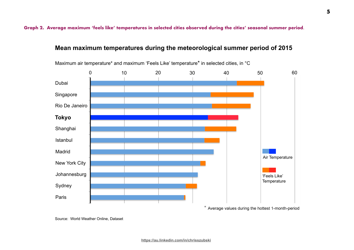**Graph 2. Average maximum 'feels like' temperatures in selected cities observed during the cities' seasonal summer period**.

# **Mean maximum temperatures during the meteorological summer period of 2015**



Maximum air temperature\* and maximum 'Feels Like' temperature\* in selected cities, in °C

Source: World Weather Online, Dataset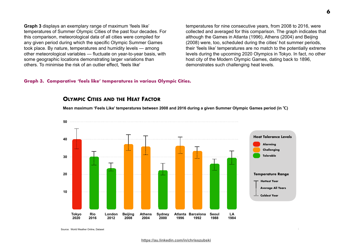**Graph 3** displays an exemplary range of maximum 'feels like' temperatures of Summer Olympic Cities of the past four decades. For this comparison, meteorological data of all cities were compiled for any given period during which the specific Olympic Summer Games took place. By nature, temperatures and humidity levels — among other meteorological variables — fluctuate on year-to-year basis, with some geographic locations demonstrating larger variations than others. To minimise the risk of an outlier effect, 'feels like'

temperatures for nine consecutive years, from 2008 to 2016, were collected and averaged for this comparison. The graph indicates that although the Games in Atlanta (1996), Athens (2004) and Beijing (2008) were, too, scheduled during the cities' hot summer periods, their 'feels like' temperatures are no match to the potentially extreme levels during the upcoming 2020 Olympics in Tokyo. In fact, no other host city of the Modern Olympic Games, dating back to 1896, demonstrates such challenging heat levels.

#### **Graph 3. Comparative 'feels like' temperatures in various Olympic Cities.**

# **OLYMPIC CITIES AND THE HEAT FACTOR**

**Mean maximum 'Feels Like' temperatures between 2008 and 2016 during a given Summer Olympic Games period (in ℃)** 



Source: World Weather Online, Dataset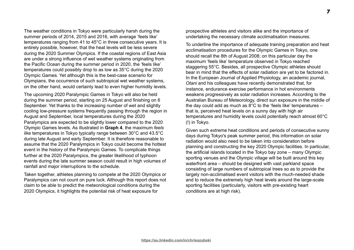The weather conditions in Tokyo were particularly harsh during the summer periods of 2014, 2015 and 2016, with average 'feels like' temperatures ranging from 41 to 45°C in three consecutive years. It is entirely possible, however, that the heat levels will be less severe during the 2020 Summer Olympics. If the coastal regions of East Asia are under a strong influence of wet weather systems originating from the Pacific Ocean during the summer period in 2020, the 'feels like' temperatures could possibly drop to as low as 35°C during the 2020 Olympic Games. Yet although this is the best-case scenario for Olympians, the occurrence of such subtropical wet weather systems, on the other hand, would certainly lead to even higher humidity levels.

The upcoming 2020 Paralympic Games in Tokyo will also be held during the summer period, starting on 25 August and finishing on 6 September. Yet thanks to the increasing number of wet and slightly cooling low-pressure systems frequently passing through the region in August and September, local temperatures during the 2020 Paralympics are expected to be slightly lower compared to the 2020 Olympic Games levels. As illustrated in **Graph 4**, the maximum *feels like* temperatures in Tokyo typically range between 30°C and 43.5°C during late August and early September. It is therefore reasonable to assume that the 2020 Paralympics in Tokyo could become the hottest event in the history of the Paralympic Games. To complicate things further at the 2020 Paralympics, the greater likelihood of typhoon events during the late summer season could result in high volumes of rainfall and major interruptions to the schedule.

Taken together, athletes planning to compete at the 2020 Olympics or Paralympics can not count on pure luck. Although this report does not claim to be able to predict the meteorological conditions during the 2020 Olympics, it highlights the potential risk of heat exposure for

prospective athletes and visitors alike and the importance of undertaking the necessary climate acclimatisation measures.

To underline the importance of adequate training preparation and heat acclimatisation procedures for the Olympic Games in Tokyo, one should recall the 8th of August 2008; on this particular day the maximum 'feels like' temperature observed in Tokyo reached staggering 55°C. Besides, all prospective Olympic athletes should bear in mind that the effects of solar radiation are yet to be factored in. In the European Journal of Applied Physiology, an academic journal, *Otani* and his colleagues have recently demonstrated that, for instance, endurance exercise performance in hot environments weakens progressively as solar radiation increases. According to the Australian Bureau of Meteorology, direct sun exposure in the middle of the day could add as much as 8°C to the 'feels like' temperatures – that is, perceived heat levels on a sunny day with high air temperatures and humidity levels could potentially reach almost 60°C (!) in Tokyo.

Given such extreme heat conditions and periods of consecutive sunny days during Tokyo's peak summer period, this information on solar radiation would also need to be taken into consideration before planning and constructing the key 2020 Olympic facilities. In particular, the artificial islands located in the Tokyo bay zone – many Olympic sporting venues and the Olympic village will be built around this key waterfront area – should be designed with vast parkland space consisting of large numbers of subtropical trees so as to provide the largely non-acclimatised event visitors with the much-needed shade and to reduce the extremely high heat levels around the large-scale sporting facilities (particularly, visitors with pre-existing heart conditions are at high risk).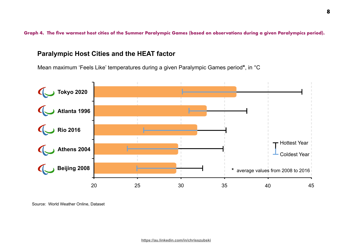**Graph 4. The five warmest host cities of the Summer Paralympic Games (based on observations during a given Paralympics period).**

# **Paralympic Host Cities and the HEAT factor**

Mean maximum 'Feels Like' temperatures during a given Paralympic Games period**\***, in °C



Source: World Weather Online, Dataset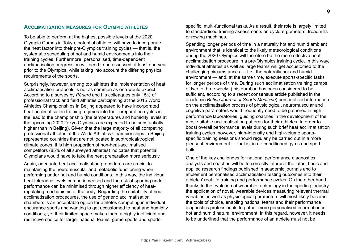To be able to perform at the highest possible levels at the 2020 Olympic Games in Tokyo, potential athletes will have to incorporate the heat factor into their pre-Olympics training cycles — that is, the systematic scheduling of hot and humid environments into their training cycles. Furthermore, personalised, time-dependent acclimatisation progression will need to be assessed at least one year prior to the Olympics, while taking into account the differing physical requirements of the sports.

Surprisingly, however, among top athletes the implementation of heat acclimatisation protocols is not as common as one would expect. According to a survey by *Périard* and his colleagues only 15% of professional track and field athletes participating at the 2015 World Athletics Championships in Beijing appeared to have incorporated heat-acclimatisation training regimes into their preparation cycles in the lead to the championship (the temperatures and humidity levels at the upcoming 2020 Tokyo Olympics are expected to be substantially higher than in Beijing). Given that the large majority of all competing professional athletes at the World Athletics Championships in Beijing represented countries that are not located in subtropical/tropical climate zones, this high proportion of non-heat-acclimatised competitors (85% of all surveyed athletes) indicates that potential Olympians would have to take the heat preparation more seriously.

Again, adequate heat acclimatisation procedures are crucial to maintaining the neuromuscular and metabolic functioning when performing under hot and humid conditions. In this way, the individual heat tolerance levels can be increased and the risk of sporting underperformance can be minimised through higher efficiency of heatregulating mechanisms of the body. Regarding the suitability of heat acclimatisation procedures, the use of generic acclimatisation chambers is an acceptable option for athletes competing in individual endurance sports and wanting to get accustomed to heat and humidity conditions; yet their limited space makes them a highly inefficient and restrictive choice for larger national teams, game sports and sports-

specific, multi-functional tasks. As a result, their role is largely limited to standardised training assessments on cycle-ergometers, treadmills or rowing machines.

Spending longer periods of time in a naturally hot and humid ambient environment that is identical to the likely meteorological conditions during the 2020 Olympics will therefore be the more effective heat acclimatisation procedure in a pre-Olympics training cycle. In this way, individual athletes as well as large teams will get accustomed to the challenging circumstances — i.e., the naturally hot and humid environment — and, at the same time, execute sports-specific tasks for longer periods of time. During such acclimatisation training camps of two to three weeks (this duration has been considered to be sufficient, according to a recent consensus article published in the academic *British Journal of Sports Medicine*) personalised information on the acclimatisation process of physiological, neuromuscular and cognitive parameters would frequently need to be gathered in highperformance laboratories, guiding coaches in the development of the most suitable acclimatisation patterns for their athletes. In order to boost overall performance levels during such brief heat acclimatisation training cycles, however, high-intensity and high-volume sportsspecific training sessions should regularly be carried out in a more pleasant environment — that is, in air-conditioned gyms and sport halls.

One of the key challenges for national performance diagnostics analysts and coaches will be to correctly interpret the latest basic and applied research findings published in academic journals and to implement personalised acclimatisation testing outcomes into their athletes' real-life training and performance cycles. On the other hand, thanks to the evolution of wearable technology in the sporting industry, the application of novel, wearable devices measuring relevant thermal variables as well as physiological parameters will most likely become the tools of choice, enabling national teams and their performance diagnostics professionals to gather more personalised information in hot and humid natural environment. In this regard, however, it needs to be underlined that the performance of an athlete must not be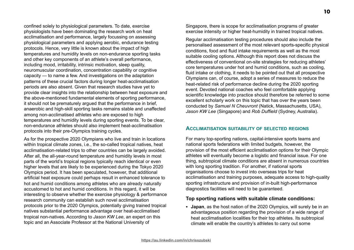confined solely to physiological parameters. To date, exercise physiologists have been dominating the research work on heat acclimatisation and performance, largely focussing on assessing physiological parameters and applying aerobic, endurance testing protocols. Hence, very little is known about the impact of high temperatures and humidity levels on non-endurance sporting tasks and other key components of an athlete's overall performance, including mood, irritability, intrinsic motivation, sleep quality, neuromuscular coordination, concentration capability or cognitive capacity — to name a few. And investigations on the adaptation patterns of these crucial factors during longer heat-acclimatisation periods are also absent. Given that research studies have yet to provide clear insights into the relationship between heat exposure and the above-mentioned fundamental elements of sporting performance, it should not be prematurely argued that the performance in brief, anaerobic and high-skill sporting tasks remains stable and unaffected among non-acclimatised athletes who are exposed to high temperatures and humidity levels during sporting events. To be clear, non-endurance athletes should also implement heat-acclimatisation protocols into their pre-Olympics training cycles.

As for the prospective 2020 Olympians who live and train in locations within tropical climate zones, i.e., the so-called tropical natives, heat acclimatisation-related trips to other countries can be largely avoided. After all, the all-year-round temperature and humidity levels in most parts of the world's tropical regions typically reach identical or even higher levels that are likely to be experienced during the Tokyo 2020 Olympics period. It has been speculated, however, that additional artificial heat exposure could perhaps result in enhanced tolerance to hot and humid conditions among athletes who are already naturally accustomed to hot and humid conditions. In this regard, it will be interesting to observe whether the exercise physiology & performance research community can establish such novel acclimatisation protocols prior to the 2020 Olympics, potentially giving trained tropical natives substantial performance advantage over heat-acclimatised tropical non-natives. According to *Jason KW Lee*, an expert on this topic and an Associate Professor at the National University of

Singapore, there is scope for acclimatisation programs of greater exercise intensity or higher heat-humidity in trained tropical natives.

Regular acclimatisation testing procedures should also include the personalised assessment of the most relevant sports-specific physical conditions, food and fluid intake requirements as well as the most suitable cooling options. Although this report does not discuss the effectiveness of conventional on-site strategies for reducing athletes' core temperatures under hot and humid conditions, such as cooling, fluid intake or clothing, it needs to be pointed out that all prospective Olympians can, of course, adopt a series of measures to reduce the heat-related risk of performance decline during the 2020 sporting event. Devoted national coaches who feel comfortable applying scientific knowledge into practice should therefore be referred to some excellent scholarly work on this topic that has over the years been conducted by *Samuel N Cheuvront* (Natick, Massachusetts, USA), *Jason KW Lee* (Singapore) and *Rob Duffield* (Sydney, Australia).

## **ACCLIMATISATION SUITABILITY OF SELECTED REGIONS**

For many top-sporting nations, capital-intensive sports teams and national sports federations with limited budgets, however, the provision of the most efficient acclimatisation options for their Olympic athletes will eventually become a logistic and financial issue. For one thing, subtropical climate conditions are absent in numerous countries with long sporting tradition. For another, if national sports organisations choose to invest into overseas trips for heat acclimatisation and training purposes, adequate access to high-quality sporting infrastructure and provision of in-built high-performance diagnostics facilities will need to be guaranteed.

#### **Top sporting nations with suitable climate conditions:**

• **Japan**, as the host nation of the 2020 Olympics, will surely be in an advantageous position regarding the provision of a wide range of heat acclimatisation localities for their top athletes. Its subtropical climate will enable the country's athletes to carry out some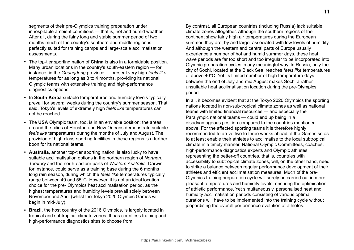segments of their pre-Olympics training preparation under inhospitable ambient conditions — that is, hot and humid weather. After all, during the fairly long and stable summer period of two months much of the country's southern and middle region is perfectly suited for training camps and large-scale acclimatisation assessments.

- The top-tier sporting nation of **China** is also in a formidable position. Many urban locations in the country's south-eastern region — for instance, in the *Guangdong* province — present very high *feels like* temperatures for as long as 3 to 4 months, providing its national Olympic teams with extensive training and high-performance diagnostics options.
- In **South Korea** suitable temperatures and humidity levels typically prevail for several weeks during the country's summer season. That said, Tokyo's levels of extremely high *feels like* temperatures can not be reached.
- The **USA** Olympic team, too, is in an enviable position; the areas around the cities of Houston and New Orleans demonstrate suitable *feels like* temperatures during the months of July and August. The provision of high class-sporting facilities in these regions is a further boon for its national teams.
- **Australia**, another top-tier sporting nation, is also lucky to have suitable acclimatisation options in the northern region of *Northern Territory* and the north-eastern parts of *Western Australia*. Darwin, for instance, could serve as a training base during the 6 months long rain season, during which the *feels like* temperatures typically range between 40 and 55°C. However, it is not an ideal location choice for the pre- Olympics heat acclimatisation period, as the highest temperatures and humidity levels prevail solely between November and April (whilst the Tokyo 2020 Olympic Games will begin in mid-July).
- **Brazil**, the host country of the 2016 Olympics, is largely located in tropical and subtropical climate zones. It has countless training and high-performance diagnostics sites to choose from.

By contrast, all European countries (including Russia) lack suitable climate zones altogether. Although the southern regions of the continent show fairly high air temperatures during the European summer, they are, by and large, associated with low levels of humidity. And although the western and central parts of Europe usually experience a number of hot and humid summer days, these heat wave periods are far too short and too irregular to be incorporated into Olympic preparation cycles in any meaningful way. In Russia, only the city of Sochi, located at the Black Sea, reaches *feels like* temperatures of above 40°C. Yet its limited number of high temperature days between the end of July and mid August makes Sochi a rather unsuitable heat acclimatisation location during the pre-Olympics period.

In all, it becomes evident that at the Tokyo 2020 Olympics the sporting nations located in non-sub-tropical climate zones as well as national teams with limited financial resources — and especially the Paralympic national teams — could end up being in a disadvantageous position compared to the countries mentioned above. For the affected sporting teams it is therefore highly recommended to arrive two to three weeks ahead of the Games so as to at least enable their athletes to acclimatise to the local subtropical climate in a timely manner. National Olympic Committees, coaches, high-performance diagnostics experts and Olympic athletes representing the better-off countries, that is, countries with accessibility to subtropical climate zones, will, on the other hand, need to strike a balance between regular performance development of their athletes and efficient acclimatisation measures. Much of the pre-Olympics training preparation cycle will surely be carried out in more pleasant temperatures and humidity levels, ensuring the optimisation of athletic performance. Yet simultaneously, personalised heat and humidity acclimatisation periods consisting of various optimal durations will have to be implemented into the training cycle without jeopardising the overall performance evolution of athletes.